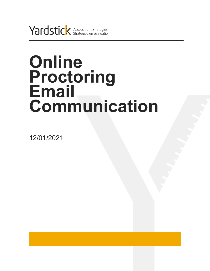Yardstick Assessment Strategies

# **Online Proctoring Email Communication**

12/01/2021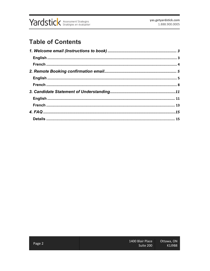

# **Table of Contents**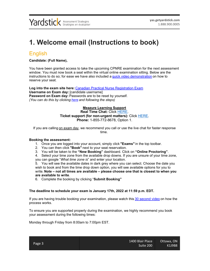# <span id="page-2-0"></span>**1. Welcome email (Instructions to book)**

### <span id="page-2-1"></span>English

**Candidate: (Full Name),**

You have been granted access to take the upcoming CPNRE examination for the next assessment window. You must now book a seat within the virtual online examination sitting. Below are the instructions to do so; for ease we have also included a [quick video demonstration](https://vimeo.com/393852880) on how to reserve your seat.

**Log into the exam site here:** [Canadian Practical Nurse Registration Exam](https://cpnre.ysasecure.com/) **Username on Exam day:** [candidate username] **Password on Exam day:** Passwords are to be reset by yourself. *(You can do this by clicking [here](https://cpnre.ysasecure.com/password/forgot) and following the steps)*

#### **Meazure Learning Support Real Time Chat:** Click [HERE.](https://auto.proctoru.com/chat) **Ticket support (for non-urgent matters):** Click [HERE.](https://support.proctoru.com/hc/en-us/requests/new) **Phone:** 1-855-772-8678, Option 1.

If you are calling on exam day, we recommend you call or use the live chat for faster response time.

#### **Booking the assessment:**

- 1. Once you are logged into your account, simply click **"Exams"** in the top toolbar.
- 2. You can then click **"Book"** next to your seat reservation.
- 3. You will be taken to the **"New Booking"** dashboard. Click on **"Online Proctoring"**.

4. Select your time zone from the available drop downs. If you are unsure of your time zone, you can google "*What time zone is*" and enter your location.

5. You will see the available dates in dark grey where you can select. Choose the date you wish to book and from the time drop down option, you will see available options for you to write. **Note – not all times are available – please choose one that is closest to when you are available to write**.

6. Complete the booking by clicking "**Submit Booking"**

#### **The deadline to schedule your exam is January 17th, 2022 at 11:59 p.m. EDT.**

If you are having trouble booking your examination, please watch this [30 second video](https://vimeo.com/393852880) on how the process works.

To ensure you are supported properly during the examination, we highly recommend you book your assessment during the following times:

Monday through Friday from 8:00am to 7:00pm EST.

|        | 1400 Blair Place | Ottawa, ON |
|--------|------------------|------------|
| Page 3 | Suite 200        | K1J9B8     |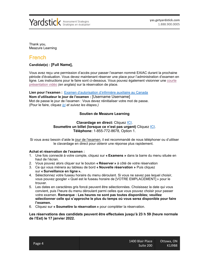

Thank you, Meazure Learning

### <span id="page-3-0"></span>French

#### **Candidat(e) : [Full Name],**

Vous avez reçu une permission d'accès pour passer l'examen nommé EAIAC durant la prochaine période d'évaluation. Vous devez maintenant réserver une place pour l'administration d'examen en ligne. Les instructions pour le faire sont ci-dessous. Vous pouvez également visionner une courte [présentation vidéo](https://vimeo.com/393852880) *(en anglais)* sur la réservation de place.

**Lien pour l'examen :** [Examen d'autorisation d'infirmière auxiliaire au Canada](https://cpnre.ysasecure.com/?locale=fr) **Nom d'utilisateur le jour de l'examen :** [Username Username] Mot de passe le jour de l'examen : Vous devez réinitialiser votre mot de passe. (Pour le faire, cliquez *[ici](https://cpnre.ysasecure.com/password/forgot?locale=fr) et suivez les étapes.)*

#### **Soutien de Meazure Learning**

#### **Clavardage en direct:** Cliquez [ICI.](https://auto.proctoru.com/chat) **Soumettre un billet (lorsque ce n'est pas urgent)** Cliquez [ICI.](https://support.proctoru.com/hc/en-us/requests/new) **Téléphone:** 1-855-772-8678, Option 1.

Si vous avez besoin d'aide le jour de l'examen, il est recommandé de nous téléphoner ou d'utiliser le clavardage en direct pour obtenir une réponse plus rapidement.

#### **Achat et réservation de l'examen :**

- 1. Une fois connecté à votre compte, cliquez sur **« Examens »** dans la barre du menu située en haut de l'écran.
- 2. Vous pouvez alors cliquer sur le bouton **« Réserver »** à côté de votre réservation
- 3. Ce qui vous mènera au tableau de bord **« Nouvelle réservation »** Puis cliquez sur **« Surveillance en ligne ».**
- 4. Sélectionnez votre fuseau horaire du menu déroulant. Si vous ne savez pas lequel choisir, vous pouvez googler « Quel est le fuseau horaire de [VOTRE EMPLACEMENT] » pour le trouver.
- 5. Les dates en caractères gris foncé peuvent être sélectionnées. Choisissez la date qui vous convient, puis l'heure du menu déroulant parmi celles que vous pouvez choisir pour passer votre examen. **Remarque : Les heures ne sont pas toutes disponibles; veuillez sélectionner celle qui s'approche le plus du temps où vous serez disponible pour faire l'examen.**
- 6. Cliquez sur **« Soumettre la réservation »** pour compléter la réservation.

**Les réservations des candidats peuvent être effectuées jusqu'à 23 h 59 (heure normale de l'Est) le 17 janvier 2022.**

|        | 1400 Blair Place | Ottawa, ON |
|--------|------------------|------------|
| Page 4 | Suite 200        | K1J9B8     |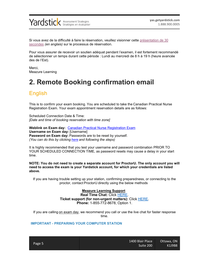

Si vous avez de la difficulté à faire la réservation, veuillez visionner cette [présentation de 30](https://vimeo.com/393852880)  [secondes](https://vimeo.com/393852880) *(en anglais)* sur le processus de réservation.

Pour vous assurer de recevoir un soutien adéquat pendant l'examen, il est fortement recommandé de sélectionner un temps durant cette période : Lundi au mercredi de 8 h à 19 h (heure avancée des de l'Est).

Merci, Meazure Learning

# <span id="page-4-0"></span>**2. Remote Booking confirmation email**

## <span id="page-4-1"></span>English

This is to confirm your exam booking. You are scheduled to take the Canadian Practical Nurse Registration Exam. Your exam appointment reservation details are as follows:

Scheduled Connection Date & Time: *[Date and time of booking reservation with time zone]*

**Weblink on Exam day: [Canadian Practical Nurse Registration Exam](https://cpnre.ysasecure.com/) Username on Exam day:** [Username] **Password on Exam day:** Passwords are to be reset by yourself. *(You can do this by clicking [here](https://cpnre.ysasecure.com/password/forgot) and following the steps)*

It is highly recommended that you test your username and password combination PRIOR TO YOUR SCHEDULED CONNECTION TIME, as password resets may cause a delay in your start time.

**NOTE: You do not need to create a separate account for ProctorU. The only account you will need to access the exam is your Yardstick account, for which your credentials are listed above.**

If you are having trouble setting up your station, confirming preparedness, or connecting to the proctor, contact ProctorU directly using the below methods

#### **Meazure Learning Support Real Time Chat:** Click [HERE.](https://auto.proctoru.com/chat) **Ticket support (for non-urgent matters):** Click [HERE.](https://support.proctoru.com/hc/en-us/requests/new) **Phone:** 1-855-772-8678, Option 1.

If you are calling on exam day, we recommend you call or use the live chat for faster response time.

#### **IMPORTANT - PREPARING YOUR COMPUTER STATION**

|        | 1400 Blair Place | Ottawa, ON |
|--------|------------------|------------|
| Page 5 | Suite 200        | K1J9B8     |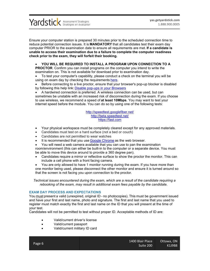

Ensure your computer station is prepared 30 minutes prior to the scheduled connection time to reduce potential connection issues. It is **MANDATORY** that all candidates test their exam day computer PRIOR to the examination date to ensure all requirements are met. **If a candidate is unable to access their examination due to a failure to complete the computer readiness check prior to the exam, they will forfeit their booking.**

#### • **YOU WILL BE REQUIRED TO INSTALL A PROGRAM UPON CONNECTION TO A**

**PROCTOR**. Confirm you can install programs on the computer you intend to write the examination on. This is not available for download prior to examination day.

• To test your computer's capability, please conduct a check on the terminal you will be using on exam day by checking the requirements [here.](https://support.proctoru.com/hc/en-us/articles/115011772748-Equipment-Requirements)

• Before connecting to a live proctor, ensure that your browser's pop-up blocker is disabled by following this help link: [Disable pop-ups in your Browsers](https://help.aol.com/articles/disable-or-enable-pop-ups-using-internet-explorer)

• A hardwired connection is preferred. A wireless connection can be used, but can sometimes be unstable with an increased risk of disconnection during the exam. If you choose to use wireless, we recommend a speed of **at least 10Mbps**. You may want to test your internet speed before the module. You can do so by using one of the following tests:

> <http://speedtest.googlefiber.net/> <http://beta.speedtest.net/> [https://fast.com](https://fast.com/)

- Your physical workspace must be completely cleared except for any approved materials.
- Candidates must test on a hard surface (not a bed or couch)
- Candidates are not permitted to wear watches
- It is recommended that you use [Google Chrome](https://support.google.com/chrome/answer/95346?co=GENIE.Platform%3DDesktop&hl=en-GB) as the web browser.

• You will need a web camera available that you can use to pan the examination room/environment (this can either be built-in to the computer or a separate device. You must be able to move this device around to provide a 360 degree pan).

• Candidates require a mirror or reflective surface to show the proctor the monitor. This can include a cell phone with a front facing camera.

• You are only allowed to have 1 monitor running during the exam. If you have more than one monitor being used, please disconnect the other monitor and ensure it is turned around so that the screen is not facing you upon connection to the proctor.

*Technical issues encountered during the exam, which are a result of the candidate requiring a rebooking of the exam, may result in additional exam fees payable by the candidate.*

#### **EXAM DAY PROCESS AND EXPECTATIONS**

You must present a valid (unexpired, original ID - no photocopies). This must be government issued and have your first and last name, photo and signature. The first and last name that you used to register must match exactly the first and last name on the ID that you will present at the time of your test.

Candidates will not be permitted to test without proper ID. Acceptable methods of ID are:

- Valid/current driver's license
- Valid/current passport
- Valid/current military ID card

|        | 1400 Blair Place | Ottawa, ON |
|--------|------------------|------------|
| Page 6 | Suite 200        | K1J9B8'    |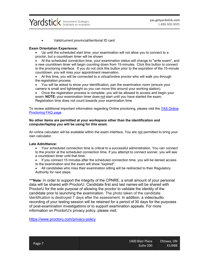

• Valid/current provincial/territorial ID card

#### **Exam Orientation Experience:**

• Up until the scheduled start time, your examination will not allow you to connect to a proctor, but a countdown timer will be shown

• At the scheduled connection time, your examination status will change to "write exam", and a new countdown timer will begin counting down from 15-minutes.  Click this button to connect to the proctoring interface.  If you do not click this button prior to the expiration of the 15-minute countdown, you will miss your appointment reservation.

• At this time, you will be connected to a virtual/online proctor who will walk you through the registration process.

• You will be asked to show your identification, pan the examination room (ensure your camera is small and lightweight so you can move this around your working station).

• Once the registration process is complete, you will be allowed to access and begin your exam. **NOTE:** your examination timer does not start until you have started the exam. Registration time does not count towards your examination time.

To review additional important information regarding Online proctoring, please visit the YAS Online [Proctoring FAQ page](https://www.getyardstick.com/online-proctoring-faq/).

#### **No other items are permitted at your workspace other than the identification and computer/laptop you will be using for this exam.**

An online calculator will be available within the exam interface. You are not permitted to bring your own calculator.

#### **Late Admittance:**

• Your scheduled connection time is critical to a successful administration. You can connect to the proctor at the scheduled connection time. If you attempt to connect sooner, you will see a countdown timer until that time.

• If you connect 15 minutes after the scheduled connection time, you will be denied access to the examination and the exam will show "expired".

• All candidates who miss their examination sitting will be redirected to their Regulatory Authority for next steps.

**\*\*\*Note:** In order to support the integrity of the CPNRE, a small amount of your personal data will be shared with ProctorU. Candidate first and last names will be shared with ProctorU for the sole purpose of allowing the proctor to validate the identity of the candidate prior to launching the examination. The photo taken of the candidate identification is destroyed 7 days after the assessment. In addition, a video/audio recording of your testing session will be retained for a period of 30 days for the purposes of post-examination investigations or to support examination appeals. For more information on ProctorU's privacy policy, please visit:

<https://www.proctoru.com/privacy-policy>

|        | '1400 Blair Place . | Ottawa, ON |
|--------|---------------------|------------|
| Page 7 | Suite 200           | K1J9B8     |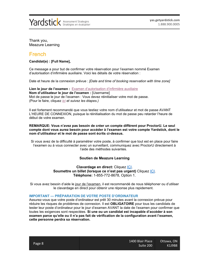

Thank you, Meazure Learning

### <span id="page-7-0"></span>French

**Candidat(e) : [Full Name],**

Ce message a pour but de confirmer votre réservation pour l'examen nommé Examen d'autorisation d'infirmière auxiliaire. Voici les détails de votre réservation :

Date et heure de la connexion prévue : *[Date and time of booking reservation with time zone]*

**Lien le jour de l'examen :** [Examen d'autorisation d'infirmière auxiliaire](https://cpnre.ysasecure.com/?locale=fr) **Nom d'utilisateur le jour de l'examen :** [Username] Mot de passe le jour de l'examen : Vous devez réinitialiser votre mot de passe. (Pour le faire, cliquez *[ici](https://cpnre.ysasecure.com/password/forgot?locale=fr) et suivez les étapes.)*

Il est fortement recommandé que vous testiez votre nom d'utilisateur et mot de passe AVANT L'HEURE DE CONNEXION, puisque la réinitialisation du mot de passe peu retarder l'heure de début de votre examen.

#### **REMARQUE: Vous n'avez pas besoin de créer un compte différent pour ProctorU. Le seul compte dont vous aurez besoin pour accéder à l'examen est votre compte Yardstick, dont le nom d'utilisateur et le mot de passe sont écrits ci-dessus.**

Si vous avez de la difficulté à paramétrer votre poste, à confirmer que tout est en place pour faire l'examen ou à vous connecter avec un surveillant, communiquez avec ProctorU directement à l'aide des méthodes suivantes.

#### **Soutien de Meazure Learning**

#### **Clavardage en direct:** Cliquez [ICI.](https://auto.proctoru.com/chat) Soumettre un billet (lorsque ce n'est pas urgent) Cliquez *ICI*. **Téléphone:** 1-855-772-8678, Option 1.

Si vous avez besoin d'aide le jour de l'examen, il est recommandé de nous téléphoner ou d'utiliser le clavardage en direct pour obtenir une réponse plus rapidement.

#### **IMPORTANT — PRÉPARATION DE VOTRE POSTE D'ORDINATEUR**

Assurez-vous que votre poste d'ordinateur est prêt 30 minutes avant la connexion prévue pour réduire les risques de problèmes de connexion. Il est **OBLIGATOIRE** pour tous les candidats de tester leur poste d'ordinateur pour le jour d'examen AVANT la date de l'examen pour confirmer que toutes les exigences sont respectées. **Si une ou un candidat est incapable d'accéder à son examen parce qu'elle ou il n'a pas fait de vérification de la configuration avant l'examen, cette personne perdra sa réservation.**

|        | 1400 Blair Place | Ottawa, ON |
|--------|------------------|------------|
| Page 8 | Suite 200        | K1J9B8     |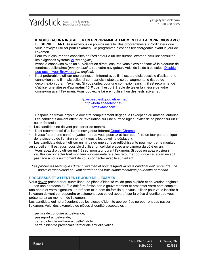

#### · **IL VOUS FAUDRA INSTALLER UN PROGRAMME AU MOMENT DE LA CONNEXION AVEC**  LE SURVEILLANT. Assurez-vous de pouvoir installer des programmes sur l'ordinateur que vous prévoyez utiliser pour l'examen. Ce programme n'est pas téléchargeable avant le jour de l'examen.

- · Pour vous assurer des capacités de l'ordinateur à utiliser durant l'examen, veuillez consulter les exigences système [ici](https://support.proctoru.com/hc/en-us/articles/115011772748-Equipment-Requirements) *(en anglais)*.
- · Avant la connexion avec un surveillant en direct, assurez-vous d'avoir désactivé le bloqueur de fenêtres publicitaires (*pop-up blocker*) de votre navigateur. Voici de l'aide à ce sujet : [Disable](https://help.aol.com/articles/disable-or-enable-pop-ups-using-internet-explorer)  [pop-ups in your Browsers](https://help.aol.com/articles/disable-or-enable-pop-ups-using-internet-explorer) *(en anglais)*.
- · Il est préférable d'utiliser une connexion Internet avec fil. Il est toutefois possible d'utiliser une connexion sans fil, mais celles-ci sont parfois instables; ce qui augmente le risque de déconnexion durant l'examen. Si vous optez pour une connexion sans fil, il est recommandé d'utiliser une vitesse d'**au moins 10 Mbps.** Il est préférable de tester la vitesse de votre connexion avant l'examen. Vous pouvez le faire en utilisant un des tests suivants :

<http://speedtest.googlefiber.net/> <http://beta.speedtest.net/> [https://fast.com](https://fast.com/)

- · L'espace de travail physique doit être complètement dégagé, à l'exception du matériel autorisé
- Les candidats doivent effectuer l'évaluation sur une surface rigide (éviter de se placer sur un lit ou un fauteuil).
- Les candidats ne doivent pas porter de montre.
- Il est recommandé d'utiliser le navigateur Internet [Google Chrome.](https://support.google.com/chrome/answer/95346?co=GENIE.Platform%3DDesktop&hl=en-GB)
- · Il vous faudra une caméra (webcam) que vous pourrez utiliser pour faire un tour panoramique de la pièce ou de l'environnement (vous allez devoir la déplacer).
- Les candidats doivent utiliser un miroir ou une surface réfléchissante pour montrer le moniteur au surveillant. Il est aussi possible d'utiliser un cellulaire avec une caméra du côté écran.
- · Vous avez droit d'utiliser un (1) seul moniteur durant l'examen. Si vous en avez plusieurs, veuillez déconnecter tout moniteur supplémentaire et les retourner pour que cet écran ne soit pas face à vous au moment de vous connecter avec le surveillant.

*Les problèmes techniques durant l'examen et pour lesquels la ou le candidat doit reprendre une nouvelle réservation peuvent entraîner des frais supplémentaires pour cette personne.*

#### **PROCESSUS ET ATTENTES LE JOUR DE L'EXAMEN**

Vous devez présenter au surveillant une pièce d'identité valide (non expirée et en version originale — pas une photocopie). Elle doit être émise par le gouvernement et présenter votre nom complet, une photo et votre signature. Le prénom et le nom de famille que vous utilisez pour vous inscrire à l'examen doivent correspondre exactement avec ce qui apparaît sur la pièce d'identité que vous présenterez au moment de l'examen.

Les candidats qui ne présentent pas les pièces d'identité appropriées ne pourront pas passer l'examen. Voici des exemples de pièces d'identité acceptables :

- permis de conduire actuel/valide;
- · passeport actuel/valide;
- · carte d'identité militaire actuelle/valide;
- carte d'identité provinciale/territoriale actuelle/valide.

|        | 1400 Blair Place | Ottawa, ON |
|--------|------------------|------------|
| Page 9 | Suite 200        | K1J9B8     |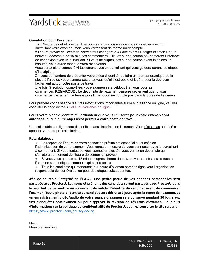

#### **Orientation pour l'examen :**

- · D'ici l'heure de début prévue, il ne vous sera pas possible de vous connecter avec un surveillant votre examen, mais vous verrez tout de même un décompte.
- · À l'heure prévue de l'examen, votre statut changera à « Write exam / Rédiger examen » et un nouveau décompte de 15 minutes commencera. Cliquez sur ce bouton pour amorcer l'interface de connexion avec un surveillant. Si vous ne cliquez pas sur ce bouton avant la fin des 15 minutes, vous aurez manqué votre réservation.
- · Vous serez alors connecté virtuellement avec un surveillant qui vous guidera durant les étapes d'inscription.
- · On vous demandera de présenter votre pièce d'identité, de faire un tour panoramique de la pièce à l'aide de votre caméra (assurez-vous qu'elle est petite et légère pour la déplacer facilement autour votre poste de travail).
- · Une fois l'inscription complétée, votre examen sera débloqué et vous pourrez commencer. **REMARQUE :** Le décompte de l'examen démarre seulement quand vous commencez l'examen. Le temps pour l'inscription ne compte pas dans la durée de l'examen.

Pour prendre connaissance d'autres informations importantes sur la surveillance en ligne, veuillez consulter la page de YAS [FAQ : surveillance en ligne](https://www.getyardstick.com/faq-surveillance-en-ligne/?lang=fr).

#### **Seuls votre pièce d'identité et l'ordinateur que vous utiliserez pour votre examen sont autorisés; aucun autre objet n'est permis à votre poste de travail.**

Une calculatrice en ligne sera disponible dans l'interface de l'examen. Vous n'êtes pas autorisé à apporter votre propre calculatrice.

#### **Retardataires :**

• Le respect de l'heure de votre connexion prévue est essentiel au succès de l'administration de votre examen. Vous serez en mesure de vous connecter avec le surveillant à ce moment. Si vous tentez de vous connecter plus tôt, vous verrez un décompte qui s'arrêtera au moment de l'heure de connexion prévue.

• Si vous vous connectez 15 minutes après l'heure de prévue, votre accès sera refusé et l'examen sera indiqué comme « expired » (expiré).

• Tous les candidats qui manquent leur heure d'examen seront dirigés vers l'organisation responsable de leur évaluation pour des étapes subséquentes.

**Afin de soutenir l'intégrité de l'EAIAC, une petite partie de vos données personnelles sera partagée avec ProctorU. Les noms et prénoms des candidats seront partagés avec ProctorU dans le seul but de permettre au surveillant de valider l'identité du candidat avant de commencer l'examen. Toute photo d'identité de candidat sera détruite 7 jours après la tenue de l'examen, et un enregistrement vidéo/audio de votre séance d'examen sera conservé pendant 30 jours aux fins d'enquêtes post-examen ou pour appuyer la révision de résultats d'examen. Pour plus d'informations sur la politique de confidentialité de ProctorU, veuillez consulter le site suivant :** <https://www.proctoru.com/privacy-policy>

Merci, Meazure Learning

|         | 1400 Blair Place | Ottawa, ON |
|---------|------------------|------------|
| Page 10 | Suite 200        | K1J9B8     |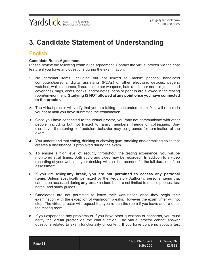# <span id="page-10-0"></span>**3. Candidate Statement of Understanding**

# <span id="page-10-1"></span>English

#### **Candidate Rules Agreement**

Please review the following exam rules agreement. Contact the virtual proctor via the chat feature if you have any questions during the examination.

- 1. No personal items, including but not limited to, mobile phones, hand-held computers/personal digital assistants (PDAs) or other electronic devices, pagers, watches, wallets, purses, firearms or other weapons, hats (and other non-religious head coverings), bags, coats, books, and/or notes, pens or pencils are allowed in the testing room/environment. **Studying IS NOT allowed at any point once you have connected to the proctor.**
- 2. The virtual proctor will verify that you are taking the intended exam. You will remain in your seat until you have submitted the examination.
- 3. Once you have connected to the virtual proctor, you may not communicate with other people, including but not limited to family members, friends or colleagues. Any disruptive, threatening or fraudulent behavior may be grounds for termination of the exam.
- 4. You understand that eating, drinking or chewing gum, smoking and/or making noise that creates a disturbance is prohibited during the exam.
- 5. To ensure a high level of security throughout the testing experience, you will be monitored at all times. Both audio and video may be recorded. In addition to a video recording of your webcam, your desktop will also be recorded for the full duration of the assessment.
- 6. If you are taking **any break, you are not permitted to access any personal items.** Unless specifically permitted by the Regulatory Authority, personal items that cannot be accessed during **any break** include but are not limited to mobile phones, test notes, and study guides.
- 7. Candidates are not permitted to leave their workstation once they begin their examination with the exception of washroom breaks. However the exam timer will not stop. The virtual proctor will request that you re-pan the room if you leave and re-enter the testing room.
- 8. If you experience any problems or if you have other questions or concerns, you must notify the virtual proctor via the chat function. The virtual proctor cannot answer questions related to exam functionality or content. If you have concerns about a test

|         | 1400 Blair Place | Ottawa, ON |
|---------|------------------|------------|
| Page 11 | Suite 200        | K1J9B8     |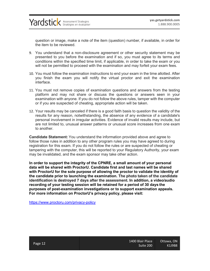question or image, make a note of the item (question) number, if available, in order for the item to be reviewed.

- 9. You understand that a non-disclosure agreement or other security statement may be presented to you before the examination and if so, you must agree to its terms and conditions within the specified time limit, if applicable, in order to take the exam or you will not be permitted to proceed with the examination and may forfeit your exam fees.
- 10. You must follow the examination instructions to end your exam in the time allotted. After you finish the exam you will notify the virtual proctor and exit the examination interface.
- 11. You must not remove copies of examination questions and answers from the testing platform and may not share or discuss the questions or answers seen in your examination with anyone. If you do not follow the above rules, tamper with the computer or if you are suspected of cheating, appropriate action will be taken.
- 12. Your results may be canceled if there is a good faith basis to question the validity of the results for any reason, notwithstanding, the absence of any evidence of a candidate's personal involvement in irregular activities. Evidence of invalid results may include, but are not limited to, unusual answer patterns or unusual score increases from one exam to another.

**Candidate Statement:** You understand the information provided above and agree to follow those rules in addition to any other program rules you may have agreed to during registration for this exam. If you do not follow the rules or are suspected of cheating or tampering with the computer, this will be reported to your Regulatory Authority, your exam may be invalidated, and the exam sponsor may take other action.

**In order to support the integrity of the CPNRE, a small amount of your personal data will be shared with ProctorU. Candidate first and last names will be shared with ProctorU for the sole purpose of allowing the proctor to validate the identity of the candidate prior to launching the examination. The photo taken of the candidate identification is destroyed 7 days after the assessment. In addition, a video/audio recording of your testing session will be retained for a period of 30 days the purposes of post-examination investigations or to support examination appeals. For more information on ProctorU's privacy policy, please visit:**

<https://www.proctoru.com/privacy-policy>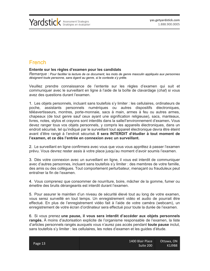### <span id="page-12-0"></span>French

#### **Entente sur les règles d'examen pour les candidats**

*Remarque : Pour faciliter la lecture de ce document, les mots de genre masculin appliqués aux personnes désignent toute personne, sans égard au genre, si le contexte s'y prête.*

Veuillez prendre connaissance de l'entente sur les règles d'examen qui suit et communiquer avec le surveillant en ligne à l'aide de la boîte de clavardage (*chat*) si vous avez des questions durant l'examen.

1. Les objets personnels, incluant sans toutefois s'y limiter : les cellulaires, ordinateurs de poche, assistants personnels numériques ou autres dispositifs électroniques, téléavertisseurs, montres, porte-monnaie, sacs à main, armes à feu ou autres armes, chapeaux (de tout genre sauf ceux ayant une signification religieuse), sacs, manteaux, livres, notes, stylos et crayons sont interdits dans la salle/l'environnement d'examen**.** Vous devez ranger tous vos objets personnels, y compris les appareils électroniques, dans un endroit sécurisé, tel qu'indiqué par le surveillant tout appareil électronique devra être éteint avant d'être rangé à l'endroit sécurisé. **Il sera INTERDIT d'étudier à tout moment de l'examen, et ce dès l'entrée en connexion avec un surveillant.**

2. Le surveillant en ligne confirmera avec vous que vous vous apprêtez à passer l'examen prévu. Vous devrez rester assis à votre place jusqu'au moment d'avoir soumis l'examen.

3. Dès votre connexion avec un surveillant en ligne, il vous est interdit de communiquer avec d'autres personnes, incluant sans toutefois s'y limiter : des membres de votre famille, des amis ou des collègues. Tout comportement perturbateur, menaçant ou frauduleux peut entraîner la fin de l'examen.

4. Vous comprenez que consommer de nourriture, boire, mâcher de la gomme, fumer ou émettre des bruits dérangeants est interdit durant l'examen.

5. Pour assurer le maintien d'un niveau de sécurité élevé tout au long de votre examen, vous serez surveillé en tout temps. Un enregistrement vidéo et audio de pourrait être effectué. En plus de l'enregistrement vidéo fait à l'aide de votre caméra (webcam), un enregistrement de votre écran d'ordinateur sera effectué pour toute la durée de l'examen.

6. Si vous prenez **une pause, il vous sera interdit d'accéder aux objets personnels rangés.** À moins d'autorisation explicite de l'organisme responsable de l'examen, la liste d'articles personnels rangés auxquels vous n'aurez pas accès pendant **toute pause** inclut, sans toutefois s'y limiter : les cellulaires, les notes d'examen et les guides d'étude.

|         | 1400 Blair Place | Ottawa, ON |
|---------|------------------|------------|
| Page 13 | Suite 200        | K1J9B8     |
|         |                  |            |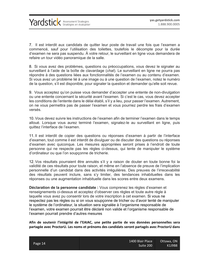Yardstick Assessment Strategies

7. Il est interdit aux candidats de quitter leur poste de travail une fois que l'examen a commencé, sauf pour l'utilisation des toilettes, toutefois le décompte pour la durée d'examen ne sera pas suspendu. À votre retour, le surveillant en ligne vous demandera de refaire un tour vidéo panoramique de la salle.

8. Si vous avez des problèmes, questions ou préoccupations, vous devez le signaler au surveillant à l'aide de la boîte de clavardage (*chat*). Le surveillant en ligne ne pourra pas répondre à des questions liées aux fonctionnalités de l'examen ou au contenu d'examen. Si vous avez un problème lié à une image ou à une question de l'examen, notez le numéro de la question, s'il est disponible, pour signaler la question et demander qu'elle soit revue.

9. Vous acceptez qu'on puisse vous demander d'accepter une entente de non-divulgation ou une entente concernant la sécurité avant l'examen. Si c'est le cas, vous devez accepter les conditions de l'entente dans le délai établi, s'il y a lieu, pour passer l'examen. Autrement, on ne vous permettra pas de passer l'examen et vous pourriez perdre les frais d'examen versés.

10. Vous devez suivre les instructions de l'examen afin de terminer l'examen dans le temps alloué. Lorsque vous aurez terminé l'examen, signalez-le au surveillant en ligne, puis quittez l'interface de l'examen.

11. Il est interdit de copier des questions ou réponses d'examen à partir de l'interface d'examen, tout comme il est interdit de divulguer ou de discuter des questions ou réponses d'examen avec quiconque. Les mesures appropriées seront prises à l'endroit de toute personne qui ne respecte pas les règles ci-dessus, qui tente de manipuler le système d'ordinateur ou que l'on soupçonne de tricherie.

12. Vos résultats pourraient être annulés s'il y a raison de douter en toute bonne foi la validité de ces résultats pour toute raison, et même en l'absence de preuve de l'implication personnelle d'un candidat dans des activités irrégulières. Des preuves de l'irrecevabilité des résultats peuvent inclure, sans s'y limiter, des tendances inhabituelles dans les réponses ou une augmentation inhabituelle dans les scores entre deux examens.

**Déclaration de la personne candidate :** Vous comprenez les règles d'examen et renseignements ci-dessus et acceptez d'observer ces règles et toute autre règle à laquelle vous avez pu consentir lors de votre inscription à cet examen. Si vous ne respectez pas les règles ou si on vous soupçonne de tricher ou d'avoir tenté de manipuler le système de l'ordinateur, la situation sera signalée à l'organisme responsable de l'examen, votre examen pourrait être déclaré non valide et l'organisme responsable de l'examen pourrait prendre d'autres mesures

**Afin de soutenir l'intégrité de l'EAIAC, une petite partie de vos données personnelles sera partagée avec ProctorU. Les noms et prénoms des candidats seront partagés avec ProctorU dans** 

|         | 1400 Blair Place | Ottawa, ON |
|---------|------------------|------------|
| Page 14 | Suite 200        | K1J9B8     |